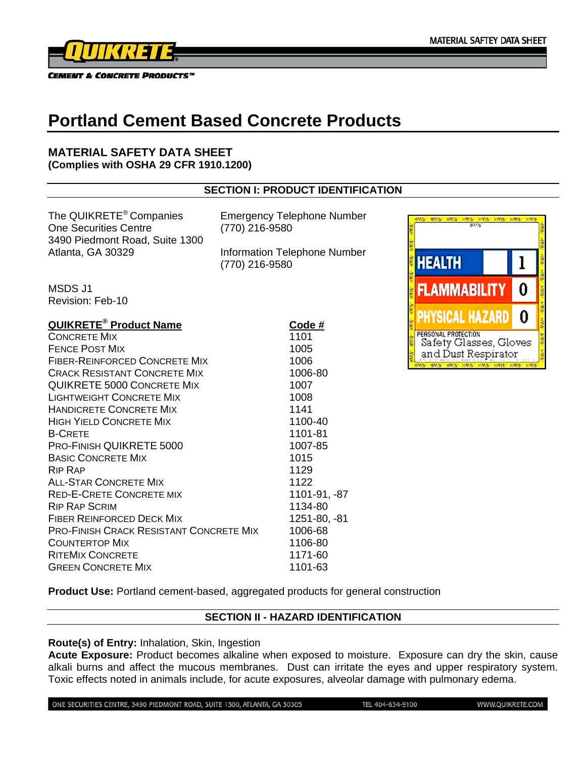

# **Portland Cement Based Concrete Products**

## **MATERIAL SAFETY DATA SHEET (Complies with OSHA 29 CFR 1910.1200)**

# **SECTION I: PRODUCT IDENTIFICATION**

The QUIKRETE<sup>®</sup> Companies Emergency Telephone Number One Securities Centre (770) 216-9580 3490 Piedmont Road, Suite 1300 Atlanta, GA 30329 Information Telephone Number

(770) 216-9580

MSDS J1 Revision: Feb-10

| <b>QUIKRETE<sup>®</sup> Product Name</b>       | Code #       |
|------------------------------------------------|--------------|
| <b>CONCRETE MIX</b>                            | 1101         |
| <b>FENCE POST MIX</b>                          | 1005         |
| <b>FIBER-REINFORCED CONCRETE MIX</b>           | 1006         |
| <b>CRACK RESISTANT CONCRETE MIX</b>            | 1006-80      |
| <b>QUIKRETE 5000 CONCRETE MIX</b>              | 1007         |
| <b>LIGHTWEIGHT CONCRETE MIX</b>                | 1008         |
| <b>HANDICRETE CONCRETE MIX</b>                 | 1141         |
| <b>HIGH YIELD CONCRETE MIX</b>                 | 1100-40      |
| <b>B-CRETE</b>                                 | 1101-81      |
| <b>PRO-FINISH QUIKRETE 5000</b>                | 1007-85      |
| <b>BASIC CONCRETE MIX</b>                      | 1015         |
| <b>RIP RAP</b>                                 | 1129         |
| <b>ALL-STAR CONCRETE MIX</b>                   | 1122         |
| <b>RED-E-CRETE CONCRETE MIX</b>                | 1101-91, -87 |
| <b>RIP RAP SCRIM</b>                           | 1134-80      |
| <b>FIBER REINFORCED DECK MIX</b>               | 1251-80, -81 |
| <b>PRO-FINISH CRACK RESISTANT CONCRETE MIX</b> | 1006-68      |
| <b>COUNTERTOP MIX</b>                          | 1106-80      |
| <b>RITEMIX CONCRETE</b>                        | 1171-60      |
| <b>GREEN CONCRETE MIX</b>                      | 1101-63      |



**Product Use:** Portland cement-based, aggregated products for general construction

# **SECTION II - HAZARD IDENTIFICATION**

#### **Route(s) of Entry:** Inhalation, Skin, Ingestion

**Acute Exposure:** Product becomes alkaline when exposed to moisture. Exposure can dry the skin, cause alkali burns and affect the mucous membranes. Dust can irritate the eyes and upper respiratory system. Toxic effects noted in animals include, for acute exposures, alveolar damage with pulmonary edema.

ONE SECURITIES CENTRE, 3490 PIEDMONT ROAD, SUITE 1300, ATLANTA, GA 30305

TEL 404-634-9100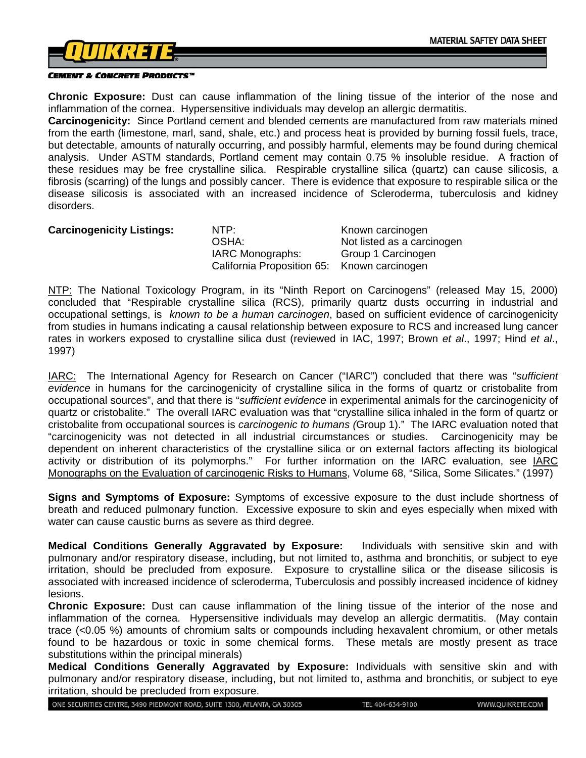

**Chronic Exposure:** Dust can cause inflammation of the lining tissue of the interior of the nose and inflammation of the cornea. Hypersensitive individuals may develop an allergic dermatitis.

**Carcinogenicity:** Since Portland cement and blended cements are manufactured from raw materials mined from the earth (limestone, marl, sand, shale, etc.) and process heat is provided by burning fossil fuels, trace, but detectable, amounts of naturally occurring, and possibly harmful, elements may be found during chemical analysis. Under ASTM standards, Portland cement may contain 0.75 % insoluble residue. A fraction of these residues may be free crystalline silica. Respirable crystalline silica (quartz) can cause silicosis, a fibrosis (scarring) of the lungs and possibly cancer. There is evidence that exposure to respirable silica or the disease silicosis is associated with an increased incidence of Scleroderma, tuberculosis and kidney disorders.

**Carcinogenicity Listings:** NTP: Known carcinogen OSHA: Not listed as a carcinogen IARC Monographs: Group 1 Carcinogen California Proposition 65: Known carcinogen

NTP: The National Toxicology Program, in its "Ninth Report on Carcinogens" (released May 15, 2000) concluded that "Respirable crystalline silica (RCS), primarily quartz dusts occurring in industrial and occupational settings, is *known to be a human carcinogen*, based on sufficient evidence of carcinogenicity from studies in humans indicating a causal relationship between exposure to RCS and increased lung cancer rates in workers exposed to crystalline silica dust (reviewed in IAC, 1997; Brown *et al*., 1997; Hind *et al*., 1997)

IARC: The International Agency for Research on Cancer ("IARC") concluded that there was "*sufficient evidence* in humans for the carcinogenicity of crystalline silica in the forms of quartz or cristobalite from occupational sources", and that there is "*sufficient evidence* in experimental animals for the carcinogenicity of quartz or cristobalite." The overall IARC evaluation was that "crystalline silica inhaled in the form of quartz or cristobalite from occupational sources is *carcinogenic to humans (*Group 1)." The IARC evaluation noted that "carcinogenicity was not detected in all industrial circumstances or studies. Carcinogenicity may be dependent on inherent characteristics of the crystalline silica or on external factors affecting its biological activity or distribution of its polymorphs." For further information on the IARC evaluation, see IARC Monographs on the Evaluation of carcinogenic Risks to Humans, Volume 68, "Silica, Some Silicates." (1997)

**Signs and Symptoms of Exposure:** Symptoms of excessive exposure to the dust include shortness of breath and reduced pulmonary function. Excessive exposure to skin and eyes especially when mixed with water can cause caustic burns as severe as third degree.

**Medical Conditions Generally Aggravated by Exposure:** Individuals with sensitive skin and with pulmonary and/or respiratory disease, including, but not limited to, asthma and bronchitis, or subject to eye irritation, should be precluded from exposure. Exposure to crystalline silica or the disease silicosis is associated with increased incidence of scleroderma, Tuberculosis and possibly increased incidence of kidney lesions.

**Chronic Exposure:** Dust can cause inflammation of the lining tissue of the interior of the nose and inflammation of the cornea. Hypersensitive individuals may develop an allergic dermatitis. (May contain trace (<0.05 %) amounts of chromium salts or compounds including hexavalent chromium, or other metals found to be hazardous or toxic in some chemical forms. These metals are mostly present as trace substitutions within the principal minerals)

**Medical Conditions Generally Aggravated by Exposure:** Individuals with sensitive skin and with pulmonary and/or respiratory disease, including, but not limited to, asthma and bronchitis, or subject to eye irritation, should be precluded from exposure.

ONE SECURITIES CENTRE, 3490 PIEDMONT ROAD, SUITE 1300, ATLANTA, GA 30305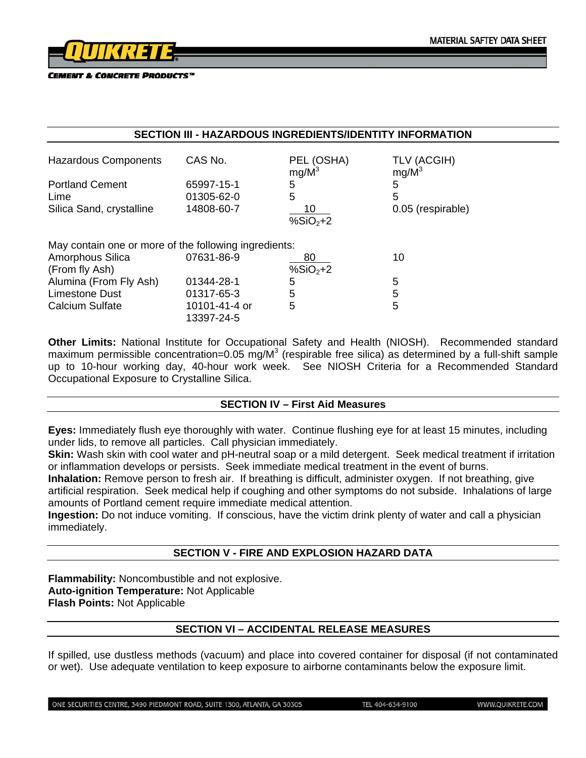

| <b>SECTION III - HAZARDOUS INGREDIENTS/IDENTITY INFORMATION</b>                             |                                                         |                           |                             |  |
|---------------------------------------------------------------------------------------------|---------------------------------------------------------|---------------------------|-----------------------------|--|
| <b>Hazardous Components</b>                                                                 | CAS No.                                                 | PEL (OSHA)<br>$mg/M^3$    | TLV (ACGIH)<br>$mg/M^3$     |  |
| <b>Portland Cement</b><br>Lime<br>Silica Sand, crystalline                                  | 65997-15-1<br>01305-62-0<br>14808-60-7                  | 5<br>5<br>10<br>$%SiO2+2$ | 5<br>5<br>0.05 (respirable) |  |
| May contain one or more of the following ingredients:<br>Amorphous Silica<br>(From fly Ash) | 07631-86-9                                              | 80<br>$%SiO2+2$           | 10                          |  |
| Alumina (From Fly Ash)<br>Limestone Dust<br><b>Calcium Sulfate</b>                          | 01344-28-1<br>01317-65-3<br>10101-41-4 or<br>13397-24-5 | 5<br>5<br>5               | 5<br>5<br>5                 |  |

**Other Limits:** National Institute for Occupational Safety and Health (NIOSH). Recommended standard maximum permissible concentration=0.05 mg/M<sup>3</sup> (respirable free silica) as determined by a full-shift sample up to 10-hour working day, 40-hour work week. See NIOSH Criteria for a Recommended Standard Occupational Exposure to Crystalline Silica.

#### **SECTION IV – First Aid Measures**

**Eyes:** Immediately flush eye thoroughly with water. Continue flushing eye for at least 15 minutes, including under lids, to remove all particles. Call physician immediately.

**Skin:** Wash skin with cool water and pH-neutral soap or a mild detergent. Seek medical treatment if irritation or inflammation develops or persists. Seek immediate medical treatment in the event of burns.

**Inhalation:** Remove person to fresh air. If breathing is difficult, administer oxygen. If not breathing, give artificial respiration. Seek medical help if coughing and other symptoms do not subside. Inhalations of large amounts of Portland cement require immediate medical attention.

**Ingestion:** Do not induce vomiting. If conscious, have the victim drink plenty of water and call a physician immediately.

# **SECTION V - FIRE AND EXPLOSION HAZARD DATA**

**Flammability:** Noncombustible and not explosive. **Auto-ignition Temperature:** Not Applicable **Flash Points:** Not Applicable

# **SECTION VI – ACCIDENTAL RELEASE MEASURES**

If spilled, use dustless methods (vacuum) and place into covered container for disposal (if not contaminated or wet). Use adequate ventilation to keep exposure to airborne contaminants below the exposure limit.

ONE SECURITIES CENTRE, 3490 PIEDMONT ROAD, SUITE 1300, ATLANTA, GA 30305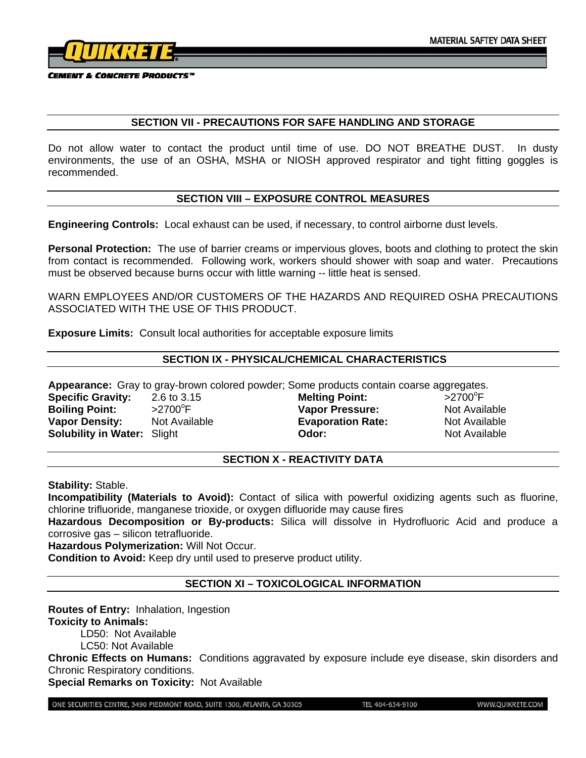

#### **SECTION VII - PRECAUTIONS FOR SAFE HANDLING AND STORAGE**

Do not allow water to contact the product until time of use. DO NOT BREATHE DUST. In dusty environments, the use of an OSHA, MSHA or NIOSH approved respirator and tight fitting goggles is recommended.

## **SECTION VIII – EXPOSURE CONTROL MEASURES**

**Engineering Controls:** Local exhaust can be used, if necessary, to control airborne dust levels.

**Personal Protection:** The use of barrier creams or impervious gloves, boots and clothing to protect the skin from contact is recommended. Following work, workers should shower with soap and water. Precautions must be observed because burns occur with little warning -- little heat is sensed.

WARN EMPLOYEES AND/OR CUSTOMERS OF THE HAZARDS AND REQUIRED OSHA PRECAUTIONS ASSOCIATED WITH THE USE OF THIS PRODUCT.

**Exposure Limits:** Consult local authorities for acceptable exposure limits

#### **SECTION IX - PHYSICAL/CHEMICAL CHARACTERISTICS**

**Appearance:** Gray to gray-brown colored powder; Some products contain coarse aggregates.

**Specific Gravity:** 2.6 to 3.15 **Melting Point:** >2700<sup>o</sup> **Boiling Point:**  $>2700^{\circ}$ F<br>**Vapor Density:** Not Available **Vapor Density:** Not Available **Evaporation Rate:** Not Available **Solubility in Water:** Slight **Containery Collection Odor:** Not Available

**Vapor Pressure:** Not Available

 $>2700^\circ F$ 

# **SECTION X - REACTIVITY DATA**

**Stability:** Stable.

**Incompatibility (Materials to Avoid):** Contact of silica with powerful oxidizing agents such as fluorine, chlorine trifluoride, manganese trioxide, or oxygen difluoride may cause fires

**Hazardous Decomposition or By-products:** Silica will dissolve in Hydrofluoric Acid and produce a corrosive gas – silicon tetrafluoride.

**Hazardous Polymerization:** Will Not Occur.

**Condition to Avoid:** Keep dry until used to preserve product utility.

**SECTION XI – TOXICOLOGICAL INFORMATION** 

**Routes of Entry:** Inhalation, Ingestion

# **Toxicity to Animals:**

LD50: Not Available

LC50: Not Available

**Chronic Effects on Humans:** Conditions aggravated by exposure include eye disease, skin disorders and Chronic Respiratory conditions.

**Special Remarks on Toxicity:** Not Available

ONE SECURITIES CENTRE, 3490 PIEDMONT ROAD, SUITE 1300, ATLANTA, GA 30305

TEL 404-634-9100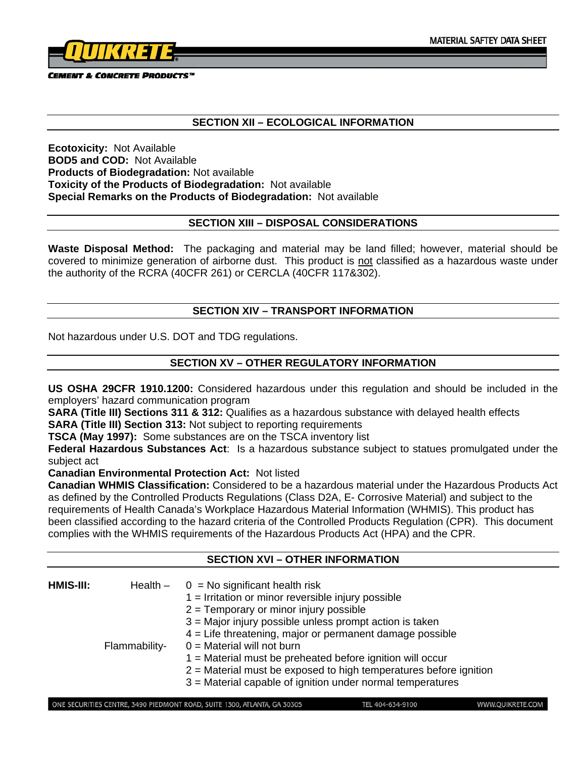

#### **SECTION XII – ECOLOGICAL INFORMATION**

**Ecotoxicity:** Not Available **BOD5 and COD:** Not Available **Products of Biodegradation:** Not available **Toxicity of the Products of Biodegradation:** Not available **Special Remarks on the Products of Biodegradation:** Not available

#### **SECTION XIII – DISPOSAL CONSIDERATIONS**

**Waste Disposal Method:** The packaging and material may be land filled; however, material should be covered to minimize generation of airborne dust. This product is not classified as a hazardous waste under the authority of the RCRA (40CFR 261) or CERCLA (40CFR 117&302).

# **SECTION XIV – TRANSPORT INFORMATION**

Not hazardous under U.S. DOT and TDG regulations.

## **SECTION XV – OTHER REGULATORY INFORMATION**

**US OSHA 29CFR 1910.1200:** Considered hazardous under this regulation and should be included in the employers' hazard communication program

**SARA (Title III) Sections 311 & 312:** Qualifies as a hazardous substance with delayed health effects **SARA (Title III) Section 313:** Not subject to reporting requirements

**TSCA (May 1997):** Some substances are on the TSCA inventory list

**Federal Hazardous Substances Act**: Is a hazardous substance subject to statues promulgated under the subject act

**Canadian Environmental Protection Act:** Not listed

**Canadian WHMIS Classification:** Considered to be a hazardous material under the Hazardous Products Act as defined by the Controlled Products Regulations (Class D2A, E- Corrosive Material) and subject to the requirements of Health Canada's Workplace Hazardous Material Information (WHMIS). This product has been classified according to the hazard criteria of the Controlled Products Regulation (CPR). This document complies with the WHMIS requirements of the Hazardous Products Act (HPA) and the CPR.

#### **SECTION XVI – OTHER INFORMATION**

| HMIS-III: |               | Health $-$ 0 = No significant health risk<br>$1 =$ Irritation or minor reversible injury possible<br>$2 =$ Temporary or minor injury possible<br>3 = Major injury possible unless prompt action is taken<br>$4$ = Life threatening, major or permanent damage possible |
|-----------|---------------|------------------------------------------------------------------------------------------------------------------------------------------------------------------------------------------------------------------------------------------------------------------------|
|           | Flammability- | $0 =$ Material will not burn<br>$1 =$ Material must be preheated before ignition will occur<br>2 = Material must be exposed to high temperatures before ignition<br>$3$ = Material capable of ignition under normal temperatures                                       |